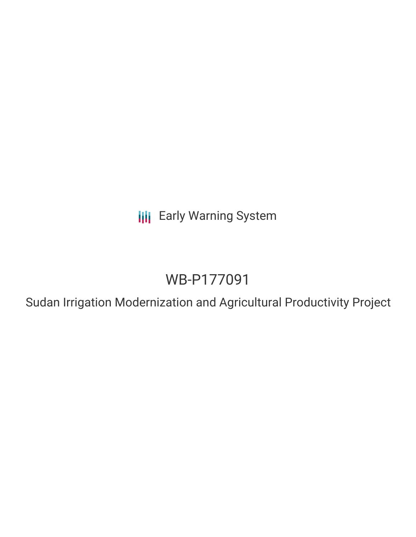**III** Early Warning System

# WB-P177091

Sudan Irrigation Modernization and Agricultural Productivity Project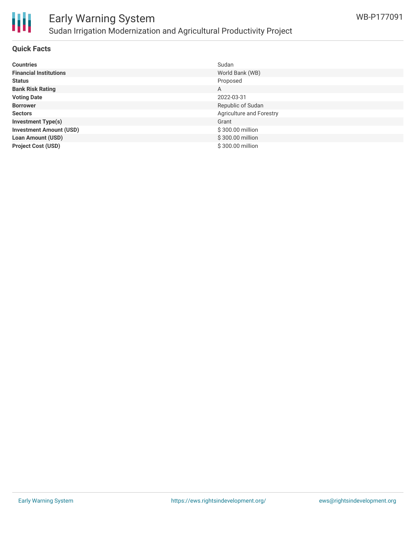

# Early Warning System Sudan Irrigation Modernization and Agricultural Productivity Project

## **Quick Facts**

|                                | Sudan                    |
|--------------------------------|--------------------------|
| <b>Countries</b>               |                          |
| <b>Financial Institutions</b>  | World Bank (WB)          |
| <b>Status</b>                  | Proposed                 |
| <b>Bank Risk Rating</b>        | A                        |
| <b>Voting Date</b>             | 2022-03-31               |
| <b>Borrower</b>                | Republic of Sudan        |
| <b>Sectors</b>                 | Agriculture and Forestry |
| <b>Investment Type(s)</b>      | Grant                    |
| <b>Investment Amount (USD)</b> | \$300.00 million         |
| <b>Loan Amount (USD)</b>       | \$300.00 million         |
| <b>Project Cost (USD)</b>      | \$300.00 million         |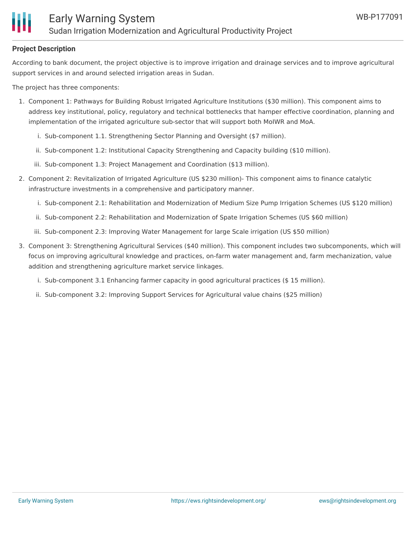# **Project Description**

According to bank document, the project objective is to improve irrigation and drainage services and to improve agricultural support services in and around selected irrigation areas in Sudan.

The project has three components:

- 1. Component 1: Pathways for Building Robust Irrigated Agriculture Institutions (\$30 million). This component aims to address key institutional, policy, regulatory and technical bottlenecks that hamper effective coordination, planning and implementation of the irrigated agriculture sub-sector that will support both MoIWR and MoA.
	- i. Sub-component 1.1. Strengthening Sector Planning and Oversight (\$7 million).
	- ii. Sub-component 1.2: Institutional Capacity Strengthening and Capacity building (\$10 million).
	- iii. Sub-component 1.3: Project Management and Coordination (\$13 million).
- 2. Component 2: Revitalization of Irrigated Agriculture (US \$230 million)- This component aims to finance catalytic infrastructure investments in a comprehensive and participatory manner.
	- i. Sub-component 2.1: Rehabilitation and Modernization of Medium Size Pump Irrigation Schemes (US \$120 million)
	- ii. Sub-component 2.2: Rehabilitation and Modernization of Spate Irrigation Schemes (US \$60 million)
	- iii. Sub-component 2.3: Improving Water Management for large Scale irrigation (US \$50 million)
- 3. Component 3: Strengthening Agricultural Services (\$40 million). This component includes two subcomponents, which will focus on improving agricultural knowledge and practices, on-farm water management and, farm mechanization, value addition and strengthening agriculture market service linkages.
	- i. Sub-component 3.1 Enhancing farmer capacity in good agricultural practices (\$ 15 million).
	- ii. Sub-component 3.2: Improving Support Services for Agricultural value chains (\$25 million)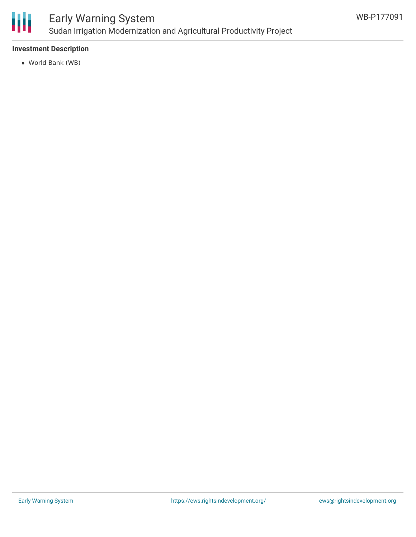

# Early Warning System Sudan Irrigation Modernization and Agricultural Productivity Project

# **Investment Description**

World Bank (WB)